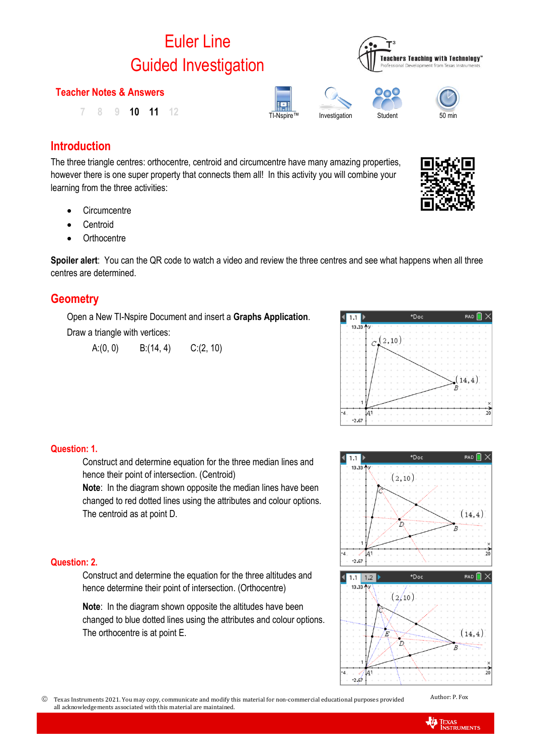# Euler Line Guided Investigation

# **Teacher Notes & Answers**

TI-Nspire™ Investigation Student <sup>50</sup> min **7 8 9 10 11 12**

# **Introduction**

The three triangle centres: orthocentre, centroid and circumcentre have many amazing properties, however there is one super property that connects them all! In this activity you will combine your learning from the three activities:

- **Circumcentre**
- **Centroid**
- Orthocentre

**Spoiler alert**: You can the QR code to watch a video and review the three centres and see what happens when all three centres are determined.

# **Geometry**

Open a New TI-Nspire Document and insert a **Graphs Application**. Draw a triangle with vertices:

A: $(0, 0)$  B: $(14, 4)$  C: $(2, 10)$ 



# **Question: 1.**

Construct and determine equation for the three median lines and hence their point of intersection. (Centroid)

**Note**: In the diagram shown opposite the median lines have been changed to red dotted lines using the attributes and colour options. The centroid as at point D.

# **Question: 2.**

Construct and determine the equation for the three altitudes and hence determine their point of intersection. (Orthocentre)

**Note:** In the diagram shown opposite the altitudes have been changed to blue dotted lines using the attributes and colour options. The orthocentre is at point E.









 Texas Instruments 2021. You may copy, communicate and modify this material for non-commercial educational purposes provided all acknowledgements associated with this material are maintained.

Author: P. Fox